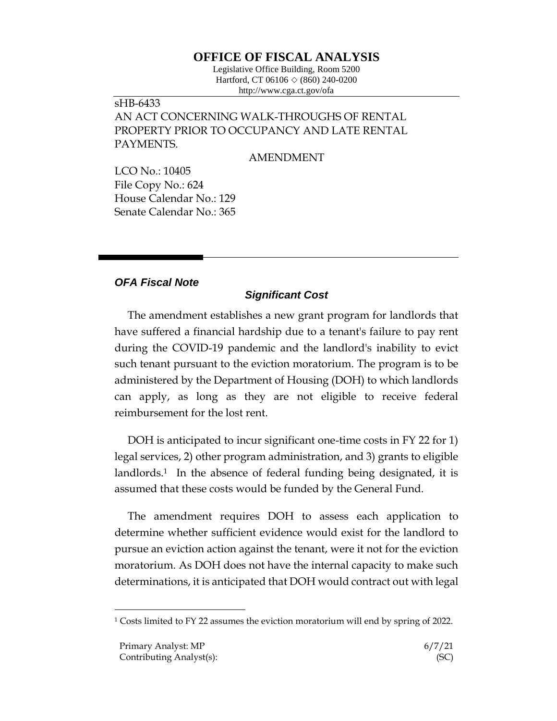## **OFFICE OF FISCAL ANALYSIS**

Legislative Office Building, Room 5200 Hartford, CT 06106  $\Diamond$  (860) 240-0200 http://www.cga.ct.gov/ofa

## sHB-6433 AN ACT CONCERNING WALK-THROUGHS OF RENTAL PROPERTY PRIOR TO OCCUPANCY AND LATE RENTAL PAYMENTS.

AMENDMENT

LCO No.: 10405 File Copy No.: 624 House Calendar No.: 129 Senate Calendar No.: 365

## *OFA Fiscal Note*

## *Significant Cost*

The amendment establishes a new grant program for landlords that have suffered a financial hardship due to a tenant's failure to pay rent during the COVID-19 pandemic and the landlord's inability to evict such tenant pursuant to the eviction moratorium. The program is to be administered by the Department of Housing (DOH) to which landlords can apply, as long as they are not eligible to receive federal reimbursement for the lost rent.

DOH is anticipated to incur significant one-time costs in FY 22 for 1) legal services, 2) other program administration, and 3) grants to eligible landlords.<sup>1</sup> In the absence of federal funding being designated, it is assumed that these costs would be funded by the General Fund.

The amendment requires DOH to assess each application to determine whether sufficient evidence would exist for the landlord to pursue an eviction action against the tenant, were it not for the eviction moratorium. As DOH does not have the internal capacity to make such determinations, it is anticipated that DOH would contract out with legal

 $\overline{a}$ 

<sup>1</sup> Costs limited to FY 22 assumes the eviction moratorium will end by spring of 2022.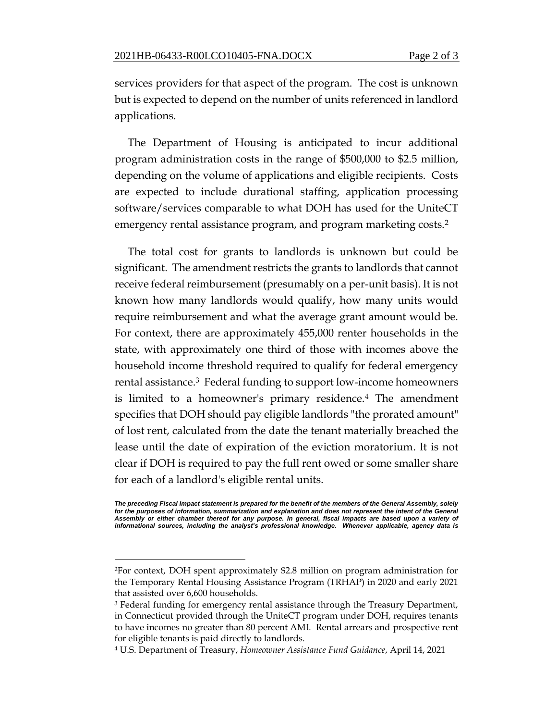services providers for that aspect of the program. The cost is unknown but is expected to depend on the number of units referenced in landlord applications.

The Department of Housing is anticipated to incur additional program administration costs in the range of \$500,000 to \$2.5 million, depending on the volume of applications and eligible recipients. Costs are expected to include durational staffing, application processing software/services comparable to what DOH has used for the UniteCT emergency rental assistance program, and program marketing costs.<sup>2</sup>

The total cost for grants to landlords is unknown but could be significant. The amendment restricts the grants to landlords that cannot receive federal reimbursement (presumably on a per-unit basis). It is not known how many landlords would qualify, how many units would require reimbursement and what the average grant amount would be. For context, there are approximately 455,000 renter households in the state, with approximately one third of those with incomes above the household income threshold required to qualify for federal emergency rental assistance.3 Federal funding to support low-income homeowners is limited to a homeowner's primary residence.<sup>4</sup> The amendment specifies that DOH should pay eligible landlords "the prorated amount" of lost rent, calculated from the date the tenant materially breached the lease until the date of expiration of the eviction moratorium. It is not clear if DOH is required to pay the full rent owed or some smaller share for each of a landlord's eligible rental units.

 $\overline{a}$ 

*The preceding Fiscal Impact statement is prepared for the benefit of the members of the General Assembly, solely*  for the purposes of information, summarization and explanation and does not represent the intent of the General *Assembly or either chamber thereof for any purpose. In general, fiscal impacts are based upon a variety of informational sources, including the analyst's professional knowledge. Whenever applicable, agency data is* 

<sup>2</sup>For context, DOH spent approximately \$2.8 million on program administration for the Temporary Rental Housing Assistance Program (TRHAP) in 2020 and early 2021 that assisted over 6,600 households.

<sup>&</sup>lt;sup>3</sup> Federal funding for emergency rental assistance through the Treasury Department, in Connecticut provided through the UniteCT program under DOH, requires tenants to have incomes no greater than 80 percent AMI. Rental arrears and prospective rent for eligible tenants is paid directly to landlords.

<sup>4</sup> U.S. Department of Treasury, *Homeowner Assistance Fund Guidance*, April 14, 2021